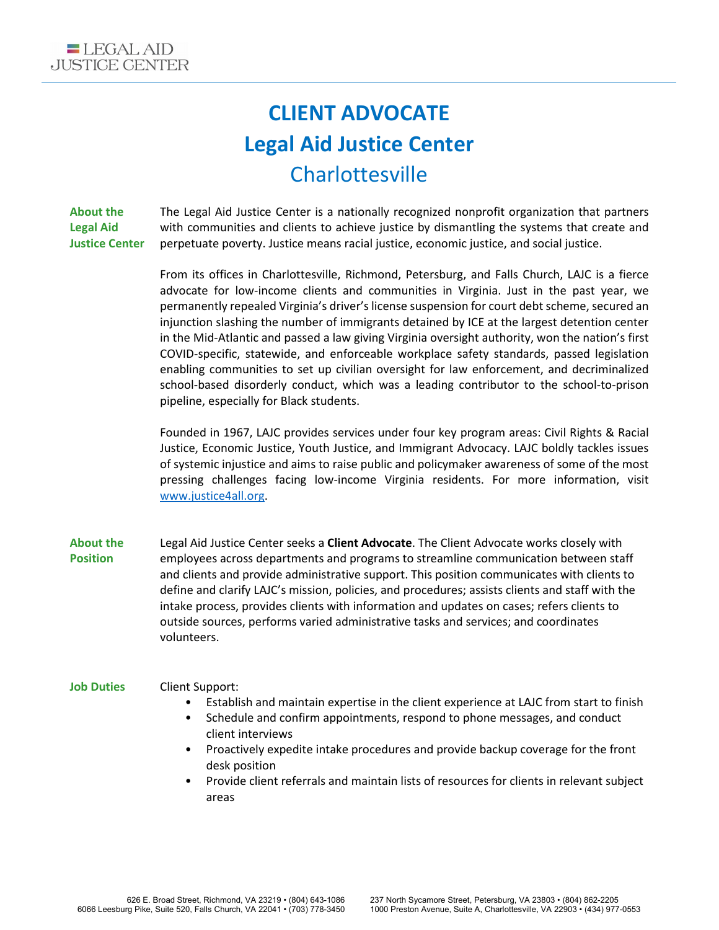## **CLIENT ADVOCATE Legal Aid Justice Center** Charlottesville

**About the Legal Aid Justice Center**

The Legal Aid Justice Center is a nationally recognized nonprofit organization that partners with communities and clients to achieve justice by dismantling the systems that create and perpetuate poverty. Justice means racial justice, economic justice, and social justice.

From its offices in Charlottesville, Richmond, Petersburg, and Falls Church, LAJC is a fierce advocate for low-income clients and communities in Virginia. Just in the past year, we permanently repealed Virginia's driver's license suspension for court debt scheme, secured an injunction slashing the number of immigrants detained by ICE at the largest detention center in the Mid-Atlantic and passed a law giving Virginia oversight authority, won the nation's first COVID-specific, statewide, and enforceable workplace safety standards, passed legislation enabling communities to set up civilian oversight for law enforcement, and decriminalized school-based disorderly conduct, which was a leading contributor to the school-to-prison pipeline, especially for Black students.

Founded in 1967, LAJC provides services under four key program areas: Civil Rights & Racial Justice, Economic Justice, Youth Justice, and Immigrant Advocacy. LAJC boldly tackles issues of systemic injustice and aims to raise public and policymaker awareness of some of the most pressing challenges facing low-income Virginia residents. For more information, visit [www.justice4all.org.](http://www.justice4all.org/)

**About the Position** Legal Aid Justice Center seeks a **Client Advocate**. The Client Advocate works closely with employees across departments and programs to streamline communication between staff and clients and provide administrative support. This position communicates with clients to define and clarify LAJC's mission, policies, and procedures; assists clients and staff with the intake process, provides clients with information and updates on cases; refers clients to outside sources, performs varied administrative tasks and services; and coordinates volunteers.

## **Job Duties** Client Support:

- Establish and maintain expertise in the client experience at LAJC from start to finish
- Schedule and confirm appointments, respond to phone messages, and conduct client interviews
- Proactively expedite intake procedures and provide backup coverage for the front desk position
- Provide client referrals and maintain lists of resources for clients in relevant subject areas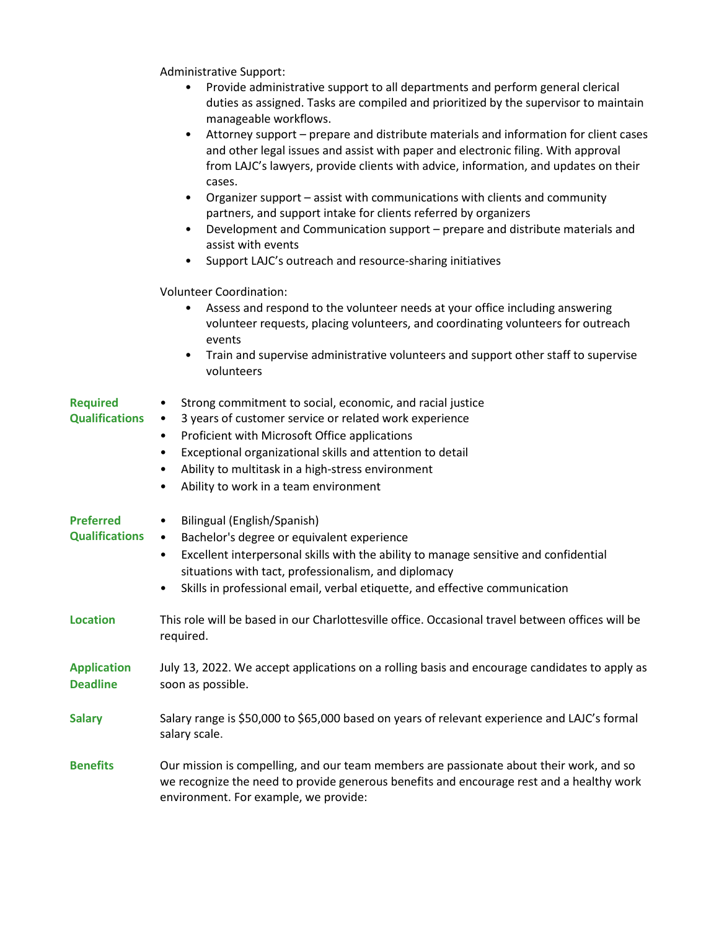Administrative Support:

- Provide administrative support to all departments and perform general clerical duties as assigned. Tasks are compiled and prioritized by the supervisor to maintain manageable workflows.
- Attorney support prepare and distribute materials and information for client cases and other legal issues and assist with paper and electronic filing. With approval from LAJC's lawyers, provide clients with advice, information, and updates on their cases.
- Organizer support assist with communications with clients and community partners, and support intake for clients referred by organizers
- Development and Communication support prepare and distribute materials and assist with events
- Support LAJC's outreach and resource-sharing initiatives

Volunteer Coordination:

- Assess and respond to the volunteer needs at your office including answering volunteer requests, placing volunteers, and coordinating volunteers for outreach events
	- Train and supervise administrative volunteers and support other staff to supervise volunteers

| <b>Required</b><br><b>Qualifications</b>  | Strong commitment to social, economic, and racial justice<br>$\bullet$<br>3 years of customer service or related work experience<br>$\bullet$<br>Proficient with Microsoft Office applications<br>$\bullet$<br>Exceptional organizational skills and attention to detail<br>$\bullet$<br>Ability to multitask in a high-stress environment<br>٠<br>Ability to work in a team environment<br>$\bullet$ |
|-------------------------------------------|-------------------------------------------------------------------------------------------------------------------------------------------------------------------------------------------------------------------------------------------------------------------------------------------------------------------------------------------------------------------------------------------------------|
| <b>Preferred</b><br><b>Qualifications</b> | Bilingual (English/Spanish)<br>$\bullet$<br>Bachelor's degree or equivalent experience<br>$\bullet$<br>Excellent interpersonal skills with the ability to manage sensitive and confidential<br>$\bullet$<br>situations with tact, professionalism, and diplomacy<br>Skills in professional email, verbal etiquette, and effective communication<br>$\bullet$                                          |
| <b>Location</b>                           | This role will be based in our Charlottesville office. Occasional travel between offices will be<br>required.                                                                                                                                                                                                                                                                                         |
| <b>Application</b><br><b>Deadline</b>     | July 13, 2022. We accept applications on a rolling basis and encourage candidates to apply as<br>soon as possible.                                                                                                                                                                                                                                                                                    |
| <b>Salary</b>                             | Salary range is \$50,000 to \$65,000 based on years of relevant experience and LAJC's formal<br>salary scale.                                                                                                                                                                                                                                                                                         |
| <b>Benefits</b>                           | Our mission is compelling, and our team members are passionate about their work, and so<br>we recognize the need to provide generous benefits and encourage rest and a healthy work<br>environment. For example, we provide:                                                                                                                                                                          |